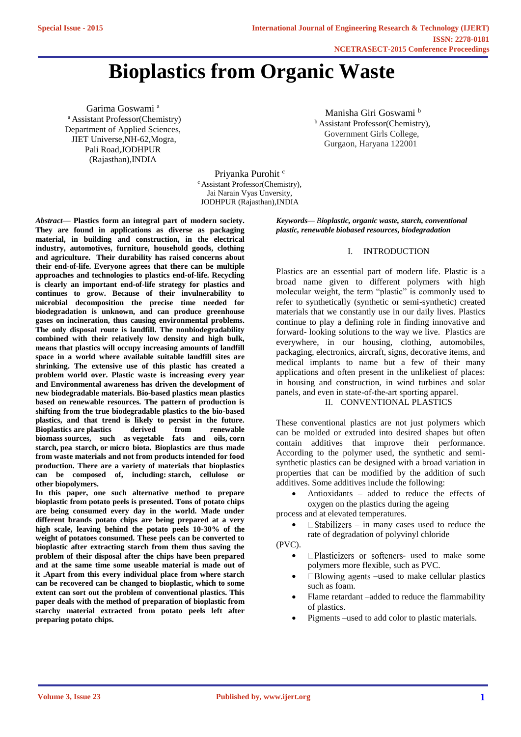# **Bioplastics from Organic Waste**

Garima Goswami<sup>a</sup> <sup>a</sup> Assistant Professor(Chemistry) Department of Applied Sciences, JIET Universe,NH-62,Mogra, Pali Road,JODHPUR (Rajasthan),INDIA

Manisha Giri Goswami <sup>b</sup> **b** Assistant Professor(Chemistry), Government Girls College, Gurgaon, Haryana 122001

Priyanka Purohit<sup>c</sup> c Assistant Professor(Chemistry), Jai Narain Vyas Unversity, JODHPUR (Rajasthan),INDIA

*Abstract*— **Plastics form an integral part of modern society. They are found in applications as diverse as packaging material, in building and construction, in the electrical industry, automotives, furniture, household goods, clothing and agriculture. Their durability has raised concerns about their end-of-life. Everyone agrees that there can be multiple approaches and technologies to plastics end-of-life. Recycling is clearly an important end-of-life strategy for plastics and continues to grow. Because of their invulnerability to microbial decomposition the precise time needed for biodegradation is unknown, and can produce greenhouse gases on incineration, thus causing environmental problems. The only disposal route is landfill. The nonbiodegradability combined with their relatively low density and high bulk, means that plastics will occupy increasing amounts of landfill space in a world where available suitable landfill sites are shrinking. The extensive use of this plastic has created a problem world over. Plastic waste is increasing every year and Environmental awareness has driven the development of new biodegradable materials. Bio-based plastics mean plastics based on renewable resources. The pattern of production is shifting from the true biodegradable plastics to the bio-based plastics, and that trend is likely to persist in the future. Bioplastics are plastics derived from renewable biomass sources, such as vegetable fats and oils, corn starch, pea starch, or micro biota. Bioplastics are thus made from waste materials and not from products intended for food production. There are a variety of materials that bioplastics can be composed of, including: starch, cellulose or other biopolymers.**

**In this paper, one such alternative method to prepare bioplastic from potato peels is presented. Tons of potato chips are being consumed every day in the world. Made under different brands potato chips are being prepared at a very high scale, leaving behind the potato peels 10-30% of the weight of potatoes consumed. These peels can be converted to bioplastic after extracting starch from them thus saving the problem of their disposal after the chips have been prepared and at the same time some useable material is made out of it .Apart from this every individual place from where starch can be recovered can be changed to bioplastic, which to some extent can sort out the problem of conventional plastics. This paper deals with the method of preparation of bioplastic from starchy material extracted from potato peels left after preparing potato chips.** 

*Keywords— Bioplastic, organic waste, starch, conventional plastic, renewable biobased resources, biodegradation*

#### I. INTRODUCTION

Plastics are an essential part of modern life. Plastic is a broad name given to different polymers with high molecular weight, the term "plastic" is commonly used to refer to synthetically (synthetic or semi-synthetic) created materials that we constantly use in our daily lives. Plastics continue to play a defining role in finding innovative and forward- looking solutions to the way we live. Plastics are everywhere, in our housing, clothing, automobiles, packaging, electronics, aircraft, signs, decorative items, and medical implants to name but a few of their many applications and often present in the unlikeliest of places: in housing and construction, in wind turbines and solar panels, and even in state-of-the-art sporting apparel.

# II. CONVENTIONAL PLASTICS

These conventional plastics are not just polymers which can be molded or extruded into desired shapes but often contain additives that improve their performance. According to the polymer used, the synthetic and semisynthetic plastics can be designed with a broad variation in properties that can be modified by the addition of such additives. Some additives include the following:

 Antioxidants – added to reduce the effects of oxygen on the plastics during the ageing

process and at elevated temperatures.

 $\Box$  Stabilizers – in many cases used to reduce the rate of degradation of polyvinyl chloride

(PVC).

- $\Box$ Plasticizers or softeners- used to make some polymers more flexible, such as PVC.
- $\Box$  Blowing agents –used to make cellular plastics such as foam.
- Flame retardant –added to reduce the flammability of plastics.
- Pigments –used to add color to plastic materials.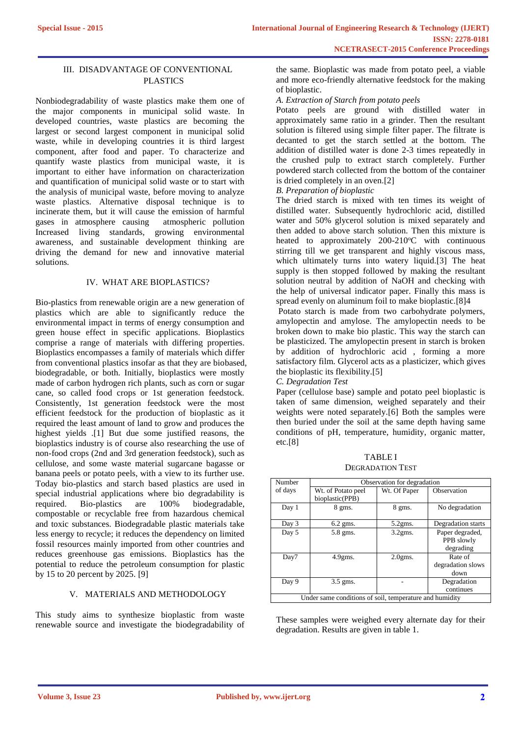# III. DISADVANTAGE OF CONVENTIONAL PLASTICS

Nonbiodegradability of waste plastics make them one of the major components in municipal solid waste. In developed countries, waste plastics are becoming the largest or second largest component in municipal solid waste, while in developing countries it is third largest component, after food and paper. To characterize and quantify waste plastics from municipal waste, it is important to either have information on characterization and quantification of municipal solid waste or to start with the analysis of municipal waste, before moving to analyze waste plastics. Alternative disposal technique is to incinerate them, but it will cause the emission of harmful gases in atmosphere causing atmospheric pollution Increased living standards, growing environmental awareness, and sustainable development thinking are driving the demand for new and innovative material solutions.

# IV. WHAT ARE BIOPLASTICS?

Bio-plastics from renewable origin are a new generation of plastics which are able to significantly reduce the environmental impact in terms of energy consumption and green house effect in specific applications. Bioplastics comprise a range of materials with differing properties. Bioplastics encompasses a family of materials which differ from conventional plastics insofar as that they are biobased, biodegradable, or both. Initially, bioplastics were mostly made of carbon hydrogen rich plants, such as corn or sugar cane, so called food crops or 1st generation feedstock. Consistently, 1st generation feedstock were the most efficient feedstock for the production of bioplastic as it required the least amount of land to grow and produces the highest yields .[1] But due some justified reasons, the bioplastics industry is of course also researching the use of non-food crops (2nd and 3rd generation feedstock), such as cellulose, and some waste material sugarcane bagasse or banana peels or potato peels, with a view to its further use. Today bio-plastics and starch based plastics are used in special industrial applications where bio degradability is required. Bio-plastics are 100% biodegradable, compostable or recyclable free from hazardous chemical and toxic substances. Biodegradable plastic materials take less energy to recycle; it reduces the dependency on limited fossil resources mainly imported from other countries and reduces greenhouse gas emissions. Bioplastics has the potential to reduce the petroleum consumption for plastic by 15 to 20 percent by 2025. [9]

#### V. MATERIALS AND METHODOLOGY

This study aims to synthesize bioplastic from waste renewable source and investigate the biodegradability of the same. Bioplastic was made from potato peel, a viable and more eco-friendly alternative feedstock for the making of bioplastic.

# *A. Extraction of Starch from potato peels*

Potato peels are ground with distilled water in approximately same ratio in a grinder. Then the resultant solution is filtered using simple filter paper. The filtrate is decanted to get the starch settled at the bottom. The addition of distilled water is done 2-3 times repeatedly in the crushed pulp to extract starch completely. Further powdered starch collected from the bottom of the container is dried completely in an oven.[2]

#### *B. Preparation of bioplastic*

The dried starch is mixed with ten times its weight of distilled water. Subsequently hydrochloric acid, distilled water and 50% glycerol solution is mixed separately and then added to above starch solution. Then this mixture is heated to approximately  $200-210^{\circ}$ C with continuous stirring till we get transparent and highly viscous mass, which ultimately turns into watery liquid.[3] The heat supply is then stopped followed by making the resultant solution neutral by addition of NaOH and checking with the help of universal indicator paper. Finally this mass is spread evenly on aluminum foil to make bioplastic.[8]4

Potato starch is made from two carbohydrate polymers, amylopectin and amylose. The amylopectin needs to be broken down to make bio plastic. This way the starch can be plasticized. The amylopectin present in starch is broken by addition of hydrochloric acid , forming a more satisfactory film. Glycerol acts as a plasticizer, which gives the bioplastic its flexibility.[5]

# *C. Degradation Test*

Paper (cellulose base) sample and potato peel bioplastic is taken of same dimension, weighed separately and their weights were noted separately.[6] Both the samples were then buried under the soil at the same depth having same conditions of pH, temperature, humidity, organic matter, etc.[8]

TABLE I DEGRADATION TEST

| Number             | Observation for degradation   |              |                                            |
|--------------------|-------------------------------|--------------|--------------------------------------------|
| of days            | Wt. of Potato peel            | Wt. Of Paper | Observation                                |
|                    | bioplastic(PPB)               |              |                                            |
| Day 1              | $8$ gms.                      | 8 gms.       | No degradation                             |
| Day 3              | $6.2$ gms.                    | $5.2$ gms.   | Degradation starts                         |
| Day 5              | 5.8 gms.                      | $3.2$ gms.   | Paper degraded,<br>PPB slowly<br>degrading |
| Day7               | $4.9$ gms.                    | $2.0gms$ .   | Rate of<br>degradation slows<br>down       |
| Day 9<br><b>TT</b> | $3.5$ gms.<br>1.1.1<br>$\sim$ | $\cdot$ .    | Degradation<br>continues<br>11<br>$\cdots$ |

Under same conditions of soil, temperature and humidity

These samples were weighed every alternate day for their degradation. Results are given in table 1.